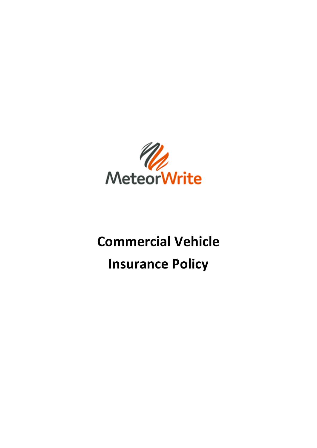

# **Commercial Vehicle Insurance Policy**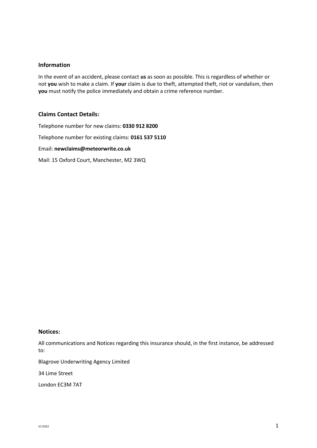#### **Information**

In the event of an accident, please contact **us** as soon as possible. This is regardless of whether or not **you** wish to make a claim. If **your** claim is due to theft, attempted theft, riot or vandalism, then **you** must notify the police immediately and obtain a crime reference number.

#### **Claims Contact Details:**

Telephone number for new claims: **0330 912 8200** Telephone number for existing claims: **0161 537 5110** Email: **newclaims@meteorwrite.co.uk** Mail: 15 Oxford Court, Manchester, M2 3WQ

#### **Notices:**

All communications and Notices regarding this insurance should, in the first instance, be addressed to:

Blagrove Underwriting Agency Limited

34 Lime Street

London EC3M 7AT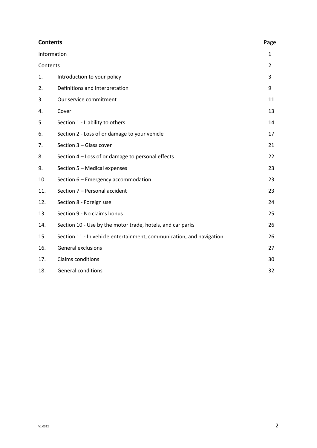| <b>Contents</b> |                                                                      |                |
|-----------------|----------------------------------------------------------------------|----------------|
| Information     |                                                                      |                |
| Contents        |                                                                      | $\overline{2}$ |
| 1.              | Introduction to your policy                                          | 3              |
| 2.              | Definitions and interpretation                                       | 9              |
| 3.              | Our service commitment                                               | 11             |
| 4.              | Cover                                                                | 13             |
| 5.              | Section 1 - Liability to others                                      | 14             |
| 6.              | Section 2 - Loss of or damage to your vehicle                        | 17             |
| 7.              | Section 3 - Glass cover                                              | 21             |
| 8.              | Section 4 – Loss of or damage to personal effects                    | 22             |
| 9.              | Section 5 - Medical expenses                                         | 23             |
| 10.             | Section 6 - Emergency accommodation                                  | 23             |
| 11.             | Section 7 - Personal accident                                        | 23             |
| 12.             | Section 8 - Foreign use                                              | 24             |
| 13.             | Section 9 - No claims bonus                                          | 25             |
| 14.             | Section 10 - Use by the motor trade, hotels, and car parks           | 26             |
| 15.             | Section 11 - In vehicle entertainment, communication, and navigation | 26             |
| 16.             | General exclusions                                                   | 27             |
| 17.             | Claims conditions                                                    | 30             |
| 18.             | <b>General conditions</b>                                            | 32             |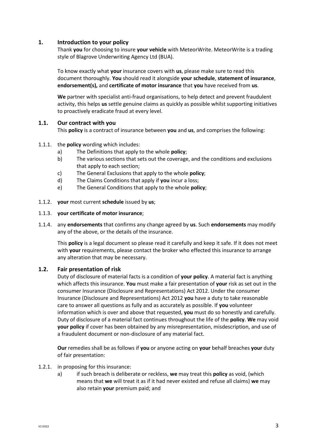# **1. Introduction to your policy**

Thank **you** for choosing to insure **your vehicle** with MeteorWrite. MeteorWrite is a trading style of Blagrove Underwriting Agency Ltd (BUA).

To know exactly what **your** insurance covers with **us**, please make sure to read this document thoroughly. **You** should read it alongside **your schedule**, **statement of insurance**, **endorsement(s),** and **certificate of motor insurance** that **you** have received from **us**.

**We** partner with specialist anti-fraud organisations, to help detect and prevent fraudulent activity, this helps **us** settle genuine claims as quickly as possible whilst supporting initiatives to proactively eradicate fraud at every level.

#### **1.1. Our contract with you**

This **policy** is a contract of insurance between **you** and **us**, and comprises the following:

#### 1.1.1. the **policy** wording which includes:

- a) The Definitions that apply to the whole **policy**;
- b) The various sections that sets out the coverage, and the conditions and exclusions that apply to each section;
- c) The General Exclusions that apply to the whole **policy**;
- d) The Claims Conditions that apply if **you** incur a loss;
- e) The General Conditions that apply to the whole **policy**;
- 1.1.2. **your** most current **schedule** issued by **us**;

#### 1.1.3. **your certificate of motor insurance**;

1.1.4. any **endorsements** that confirms any change agreed by **us**. Such **endorsements** may modify any of the above, or the details of the insurance.

This **policy** is a legal document so please read it carefully and keep it safe. If it does not meet with **your** requirements, please contact the broker who effected this insurance to arrange any alteration that may be necessary.

#### **1.2. Fair presentation of risk**

Duty of disclosure of material facts is a condition of **your policy**. A material fact is anything which affects this insurance. **You** must make a fair presentation of **your** risk as set out in the consumer Insurance (Disclosure and Representations) Act 2012. Under the consumer Insurance (Disclosure and Representations) Act 2012 **you** have a duty to take reasonable care to answer all questions as fully and as accurately as possible. If **you** volunteer information which is over and above that requested, **you** must do so honestly and carefully. Duty of disclosure of a material fact continues throughout the life of the **policy**. **We** may void **your policy** if cover has been obtained by any misrepresentation, misdescription, and use of a fraudulent document or non-disclosure of any material fact.

**Our** remedies shall be as follows if **you** or anyone acting on **your** behalf breaches **your** duty of fair presentation:

#### 1.2.1. in proposing for this insurance:

a) if such breach is deliberate or reckless, **we** may treat this **policy** as void, (which means that **we** will treat it as if it had never existed and refuse all claims) **we** may also retain **your** premium paid; and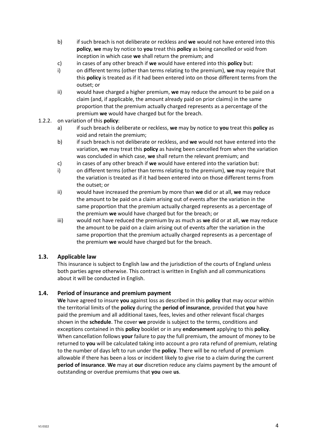- b) if such breach is not deliberate or reckless and **we** would not have entered into this **policy**, **we** may by notice to **you** treat this **policy** as being cancelled or void from inception in which case **we** shall return the premium; and
- c) in cases of any other breach if **we** would have entered into this **policy** but:
- i) on different terms (other than terms relating to the premium), **we** may require that this **policy** is treated as if it had been entered into on those different terms from the outset; or
- ii) would have charged a higher premium, **we** may reduce the amount to be paid on a claim (and, if applicable, the amount already paid on prior claims) in the same proportion that the premium actually charged represents as a percentage of the premium **we** would have charged but for the breach.

#### 1.2.2. on variation of this **policy**:

- a) if such breach is deliberate or reckless, **we** may by notice to **you** treat this **policy** as void and retain the premium;
- b) if such breach is not deliberate or reckless, and **we** would not have entered into the variation, **we** may treat this **policy** as having been cancelled from when the variation was concluded in which case, **we** shall return the relevant premium; and
- c) in cases of any other breach if **we** would have entered into the variation but:
- i) on different terms (other than terms relating to the premium), **we** may require that the variation is treated as if it had been entered into on those different terms from the outset; or
- ii) would have increased the premium by more than **we** did or at all, **we** may reduce the amount to be paid on a claim arising out of events after the variation in the same proportion that the premium actually charged represents as a percentage of the premium **we** would have charged but for the breach; or
- iii) would not have reduced the premium by as much as **we** did or at all, **we** may reduce the amount to be paid on a claim arising out of events after the variation in the same proportion that the premium actually charged represents as a percentage of the premium **we** would have charged but for the breach.

# **1.3. Applicable law**

This insurance is subject to English law and the jurisdiction of the courts of England unless both parties agree otherwise. This contract is written in English and all communications about it will be conducted in English.

# **1.4. Period of insurance and premium payment**

**We** have agreed to insure **you** against loss as described in this **policy** that may occur within the territorial limits of the **policy** during the **period of insurance**, provided that **you** have paid the premium and all additional taxes, fees, levies and other relevant fiscal charges shown in the **schedule**. The cover **we** provide is subject to the terms, conditions and exceptions contained in this **policy** booklet or in any **endorsement** applying to this **policy**. When cancellation follows **your** failure to pay the full premium, the amount of money to be returned to **you** will be calculated taking into account a pro rata refund of premium, relating to the number of days left to run under the **policy**. There will be no refund of premium allowable if there has been a loss or incident likely to give rise to a claim during the current **period of insurance**. **We** may at **our** discretion reduce any claims payment by the amount of outstanding or overdue premiums that **you** owe **us**.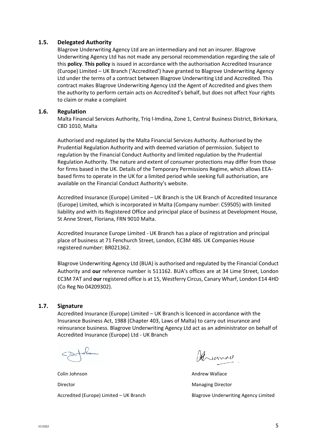#### **1.5. Delegated Authority**

Blagrove Underwriting Agency Ltd are an intermediary and not an insurer. Blagrove Underwriting Agency Ltd has not made any personal recommendation regarding the sale of this **policy**. **This policy** is issued in accordance with the authorisation Accredited Insurance (Europe) Limited – UK Branch ('Accredited') have granted to Blagrove Underwriting Agency Ltd under the terms of a contract between Blagrove Underwriting Ltd and Accredited. This contract makes Blagrove Underwriting Agency Ltd the Agent of Accredited and gives them the authority to perform certain acts on Accredited's behalf, but does not affect Your rights to claim or make a complaint

#### **1.6. Regulation**

Malta Financial Services Authority, Triq l-Imdina, Zone 1, Central Business District, Birkirkara, CBD 1010, Malta

Authorised and regulated by the Malta Financial Services Authority. Authorised by the Prudential Regulation Authority and with deemed variation of permission. Subject to regulation by the Financial Conduct Authority and limited regulation by the Prudential Regulation Authority. The nature and extent of consumer protections may differ from those for firms based in the UK. Details of the Temporary Permissions Regime, which allows EEAbased firms to operate in the UK for a limited period while seeking full authorisation, are available on the Financial Conduct Authority's website.

Accredited Insurance (Europe) Limited – UK Branch is the UK Branch of Accredited Insurance (Europe) Limited, which is incorporated in Malta (Company number: C59505) with limited liability and with its Registered Office and principal place of business at Development House, St Anne Street, Floriana, FRN 9010 Malta.

Accredited Insurance Europe Limited - UK Branch has a place of registration and principal place of business at 71 Fenchurch Street, London, EC3M 4BS. UK Companies House registered number: BR021362.

Blagrove Underwriting Agency Ltd (BUA) is authorised and regulated by the Financial Conduct Authority and **our** reference number is 511162. BUA's offices are at 34 Lime Street, London EC3M 7AT and **our** registered office is at 15, Westferry Circus, Canary Wharf, London E14 4HD (Co Reg No 04209302).

# **1.7. Signature**

Accredited Insurance (Europe) Limited – UK Branch is licenced in accordance with the Insurance Business Act, 1988 (Chapter 403, Laws of Malta) to carry out insurance and reinsurance business. Blagrove Underwriting Agency Ltd act as an administrator on behalf of Accredited Insurance (Europe) Ltd - UK Branch

Colin Johnson **Andrew Wallace Colin Johnson** Director **Managing Director** Managing Director

Hisarno

Accredited (Europe) Limited – UK Branch Blagrove Underwriting Agency Limited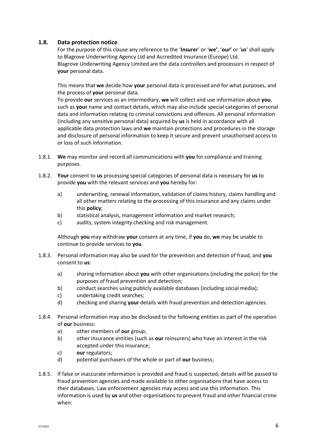# **1.8. Data protection notice**

For the purpose of this clause any reference to the '**Insurer**' or '**we'**, '**our'** or '**us**' shall apply to Blagrove Underwriting Agency Ltd and Accredited Insurance (Europe) Ltd. Blagrove Underwriting Agency Limited are the data controllers and processors in respect of **your** personal data.

This means that **we** decide how **your** personal data is processed and for what purposes, and the process of **your** personal data.

To provide **our** services as an intermediary, **we** will collect and use information about **you**, such as **your** name and contact details, which may also include special categories of personal data and information relating to criminal convictions and offences. All personal information (including any sensitive personal data) acquired by **us** is held in accordance with all applicable data protection laws and **we** maintain protections and procedures in the storage and disclosure of personal information to keep it secure and prevent unauthorised access to or loss of such information.

- 1.8.1. **We** may monitor and record all communications with **you** for compliance and training purposes.
- 1.8.2. **Your** consent to **us** processing special categories of personal data is necessary for **us** to provide **you** with the relevant services and **you** hereby for:
	- a) underwriting, renewal information, validation of claims history, claims handling and all other matters relating to the processing of this insurance and any claims under this **policy**;
	- b) statistical analysis, management information and market research;
	- c) audits, system integrity checking and risk management.

Although **you** may withdraw **your** consent at any time, if **you** do, **we** may be unable to continue to provide services to **you**.

- 1.8.3. Personal information may also be used for the prevention and detection of fraud, and **you** consent to **us**:
	- a) sharing information about **you** with other organisations (including the police) for the purposes of fraud prevention and detection;
	- b) conduct searches using publicly available databases (including social media);
	- c) undertaking credit searches;
	- d) checking and sharing **your** details with fraud prevention and detection agencies.
- 1.8.4. Personal information may also be disclosed to the following entities as part of the operation of **our** business:
	- a) other members of **our** group;
	- b) other insurance entities (such as **our** reinsurers) who have an interest in the risk accepted under this insurance;
	- c) **our** regulators;
	- d) potential purchasers of the whole or part of **our** business;
- 1.8.5. If false or inaccurate information is provided and fraud is suspected, details will be passed to fraud prevention agencies and made available to other organisations that have access to their databases. Law enforcement agencies may access and use this information. This information is used by **us** and other organisations to prevent fraud and other financial crime when: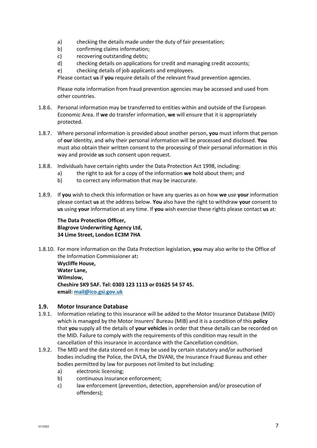- a) checking the details made under the duty of fair presentation;
- b) confirming claims information;
- c) recovering outstanding debts;
- d) checking details on applications for credit and managing credit accounts;
- e) checking details of job applicants and employees.

Please contact **us** if **you** require details of the relevant fraud prevention agencies.

Please note information from fraud prevention agencies may be accessed and used from other countries.

- 1.8.6. Personal information may be transferred to entities within and outside of the European Economic Area. If **we** do transfer information, **we** will ensure that it is appropriately protected.
- 1.8.7. Where personal information is provided about another person, **you** must inform that person of **our** identity, and why their personal information will be processed and disclosed. **You** must also obtain their written consent to the processing of their personal information in this way and provide **us** such consent upon request.
- 1.8.8. Individuals have certain rights under the Data Protection Act 1998, including:
	- a) the right to ask for a copy of the information **we** hold about them; and
	- b) to correct any information that may be inaccurate.
- 1.8.9. If **you** wish to check this information or have any queries as on how **we** use **your** information please contact **us** at the address below. **You** also have the right to withdraw **your** consent to **us** using **your** information at any time. If **you** wish exercise these rights please contact **us** at:

# **The Data Protection Officer, Blagrove Underwriting Agency Ltd, 34 Lime Street, London EC3M 7HA**

1.8.10. For more information on the Data Protection legislation, **you** may also write to the Office of the Information Commissioner at**: Wycliffe House,** 

**Water Lane, Wilmslow, Cheshire SK9 5AF. Tel: 0303 123 1113 or 01625 54 57 45. email: [mail@ico.gsi.gov.uk](mailto:mail@ico.gsi.gov.uk)**

# **1.9. Motor Insurance Database**

- 1.9.1. Information relating to this insurance will be added to the Motor Insurance Database (MID) which is managed by the Motor Insurers' Bureau (MIB) and it is a condition of this **policy** that **you** supply all the details of **your vehicles** in order that these details can be recorded on the MID. Failure to comply with the requirements of this condition may result in the cancellation of this insurance in accordance with the Cancellation condition.
- 1.9.2. The MID and the data stored on it may be used by certain statutory and/or authorised bodies including the Police, the DVLA, the DVANI, the Insurance Fraud Bureau and other bodies permitted by law for purposes not limited to but including:
	- a) electronic licensing;
	- b) continuous insurance enforcement;
	- c) law enforcement (prevention, detection, apprehension and/or prosecution of offenders);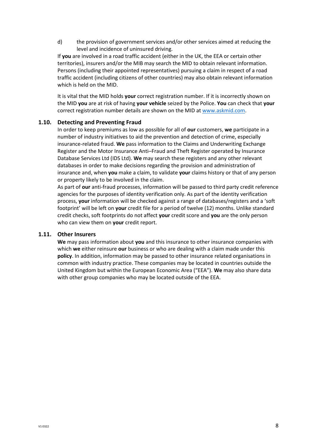d) the provision of government services and/or other services aimed at reducing the level and incidence of uninsured driving.

If **you** are involved in a road traffic accident (either in the UK, the EEA or certain other territories), insurers and/or the MIB may search the MID to obtain relevant information. Persons (including their appointed representatives) pursuing a claim in respect of a road traffic accident (including citizens of other countries) may also obtain relevant information which is held on the MID.

It is vital that the MID holds **your** correct registration number. If it is incorrectly shown on the MID **you** are at risk of having **your vehicle** seized by the Police. **You** can check that **your** correct registration number details are shown on the MID at [www.askmid.com.](http://www.askmid.com/)

#### **1.10. Detecting and Preventing Fraud**

In order to keep premiums as low as possible for all of **our** customers, **we** participate in a number of industry initiatives to aid the prevention and detection of crime, especially insurance-related fraud. **We** pass information to the Claims and Underwriting Exchange Register and the Motor Insurance Anti–Fraud and Theft Register operated by Insurance Database Services Ltd (IDS Ltd). **We** may search these registers and any other relevant databases in order to make decisions regarding the provision and administration of insurance and, when **you** make a claim, to validate **your** claims history or that of any person or property likely to be involved in the claim.

As part of **our** anti-fraud processes, information will be passed to third party credit reference agencies for the purposes of identity verification only. As part of the identity verification process, **your** information will be checked against a range of databases/registers and a 'soft footprint' will be left on **your** credit file for a period of twelve (12) months. Unlike standard credit checks, soft footprints do not affect **your** credit score and **you** are the only person who can view them on **your** credit report.

#### **1.11. Other Insurers**

**We** may pass information about **you** and this insurance to other insurance companies with which **we** either reinsure **our** business or who are dealing with a claim made under this **policy**. In addition, information may be passed to other insurance related organisations in common with industry practice. These companies may be located in countries outside the United Kingdom but within the European Economic Area ("EEA"). **We** may also share data with other group companies who may be located outside of the EEA.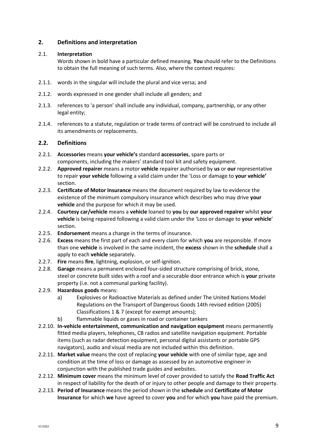# **2. Definitions and interpretation**

# 2.1. **Interpretation**

Words shown in bold have a particular defined meaning. **You** should refer to the Definitions to obtain the full meaning of such terms. Also, where the context requires:

- 2.1.1. words in the singular will include the plural and vice versa; and
- 2.1.2. words expressed in one gender shall include all genders; and
- 2.1.3. references to 'a person' shall include any individual, company, partnership, or any other legal entity;
- 2.1.4. references to a statute, regulation or trade terms of contract will be construed to include all its amendments or replacements.

# **2.2. Definitions**

- 2.2.1. **Accessories** means **your vehicle's** standard **accessories**, spare parts or components, including the makers' standard tool kit and safety equipment.
- 2.2.2. **Approved repairer** means a motor **vehicle** repairer authorised by **us** or **our** representative to repair **your vehicle** following a valid claim under the 'Loss or damage to **your vehicle'** section.
- 2.2.3. **Certificate of Motor Insurance** means the document required by law to evidence the existence of the minimum compulsory insurance which describes who may drive **your vehicle** and the purpose for which it may be used.
- 2.2.4. **Courtesy car/vehicle** means a **vehicle** loaned to **you** by **our approved repairer** whilst **your vehicle** is being repaired following a valid claim under the 'Loss or damage to **your vehicle**' section.
- 2.2.5. **Endorsement** means a change in the terms of insurance.
- 2.2.6. **Excess** means the first part of each and every claim for which **you** are responsible. If more than one **vehicle** is involved in the same incident, the **excess** shown in the **schedule** shall a apply to each **vehicle** separately.
- 2.2.7. **Fire** means **fire**, lightning, explosion, or self-ignition.
- 2.2.8. **Garage** means a permanent enclosed four-sided structure comprising of brick, stone, steel or concrete built sides with a roof and a securable door entrance which is **your** private property (i.e. not a communal parking facility).
- 2.2.9. **Hazardous goods** means:
	- a) Explosives or Radioactive Materials as defined under The United Nations Model Regulations on the Transport of Dangerous Goods 14th revised edition (2005) Classifications 1 & 7 (except for exempt amounts);
	- b) flammable liquids or gases in road or container tankers
- 2.2.10. **In-vehicle entertainment, communication and navigation equipment** means permanently fitted media players, telephones, CB radios and satellite navigation equipment. Portable items (such as radar detection equipment, personal digital assistants or portable GPS navigators), audio and visual media are not included within this definition.
- 2.2.11. **Market value** means the cost of replacing **your vehicle** with one of similar type, age and condition at the time of loss or damage as assessed by an automotive engineer in conjunction with the published trade guides and websites.
- 2.2.12. **Minimum cover** means the minimum level of cover provided to satisfy the **Road Traffic Act** in respect of liability for the death of or injury to other people and damage to their property.
- 2.2.13. **Period of Insurance** means the period shown in the **schedule** and **Certificate of Motor Insurance** for which **we** have agreed to cover **you** and for which **you** have paid the premium.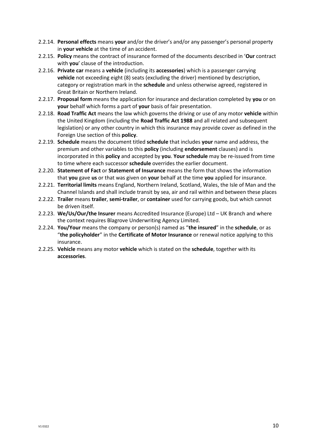- 2.2.14. **Personal effects** means **your** and/or the driver's and/or any passenger's personal property in **your vehicle** at the time of an accident.
- 2.2.15. **Policy** means the contract of insurance formed of the documents described in '**Our** contract with **you**' clause of the introduction.
- 2.2.16. **Private car** means a **vehicle** (including its **accessories**) which is a passenger carrying **vehicle** not exceeding eight (8) seats (excluding the driver) mentioned by description, category or registration mark in the **schedule** and unless otherwise agreed, registered in Great Britain or Northern Ireland.
- 2.2.17. **Proposal form** means the application for insurance and declaration completed by **you** or on **your** behalf which forms a part of **your** basis of fair presentation.
- 2.2.18. **Road Traffic Act** means the law which governs the driving or use of any motor **vehicle** within the United Kingdom (including the **Road Traffic Act 1988** and all related and subsequent legislation) or any other country in which this insurance may provide cover as defined in the Foreign Use section of this **policy**.
- 2.2.19. **Schedule** means the document titled **schedule** that includes **your** name and address, the premium and other variables to this **policy** (including **endorsement** clauses) and is incorporated in this **policy** and accepted by **you**. **Your schedule** may be re-issued from time to time where each successor **schedule** overrides the earlier document.
- 2.2.20. **Statement of Fact** or **Statement of Insurance** means the form that shows the information that **you** gave **us** or that was given on **your** behalf at the time **you** applied for insurance.
- 2.2.21. **Territorial limits** means England, Northern Ireland, Scotland, Wales, the Isle of Man and the Channel Islands and shall include transit by sea, air and rail within and between these places
- 2.2.22. **Trailer** means **trailer**, **semi-trailer**, or **container** used for carrying goods, but which cannot be driven itself.
- 2.2.23. **We/Us/Our/the Insurer** means Accredited Insurance (Europe) Ltd UK Branch and where the context requires Blagrove Underwriting Agency Limited.
- 2.2.24. **You/Your** means the company or person(s) named as "**the insured**" in the **schedule**, or as "**the policyholder**" in the **Certificate of Motor Insurance** or renewal notice applying to this insurance.
- 2.2.25. **Vehicle** means any motor **vehicle** which is stated on the **schedule**, together with its **accessories**.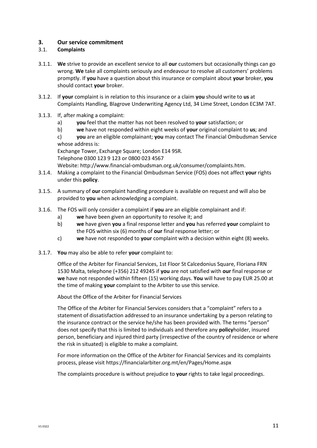# **3. Our service commitment**

# 3.1. **Complaints**

- 3.1.1. **We** strive to provide an excellent service to all **our** customers but occasionally things can go wrong. **We** take all complaints seriously and endeavour to resolve all customers' problems promptly. If **you** have a question about this insurance or complaint about **your** broker, **you** should contact **your** broker.
- 3.1.2. If **your** complaint is in relation to this insurance or a claim **you** should write to **us** at Complaints Handling, Blagrove Underwriting Agency Ltd, 34 Lime Street, London EC3M 7AT.
- 3.1.3. If, after making a complaint:
	- a) **you** feel that the matter has not been resolved to **your** satisfaction; or
	- b) **we** have not responded within eight weeks of **your** original complaint to **us**; and
	- c) **you** are an eligible complainant; **you** may contact The Financial Ombudsman Service whose address is:

Exchange Tower, Exchange Square; London E14 9SR.

Telephone 0300 123 9 123 or 0800 023 4567

Website: http://www.financial-ombudsman.org.uk/consumer/complaints.htm.

- 3.1.4. Making a complaint to the Financial Ombudsman Service (FOS) does not affect **your** rights under this **policy**.
- 3.1.5. A summary of **our** complaint handling procedure is available on request and will also be provided to **you** when acknowledging a complaint.
- 3.1.6. The FOS will only consider a complaint if **you** are an eligible complainant and if:
	- a) **we** have been given an opportunity to resolve it; and
	- b) **we** have given **you** a final response letter and **you** has referred **your** complaint to the FOS within six (6) months of **our** final response letter; or
	- c) **we** have not responded to **your** complaint with a decision within eight (8) weeks.
- 3.1.7. **You** may also be able to refer **your** complaint to:

Office of the Arbiter for Financial Services, 1st Floor St Calcedonius Square, Floriana FRN 1530 Malta, telephone (+356) 212 49245 if **you** are not satisfied with **our** final response or **we** have not responded within fifteen (15) working days. **You** will have to pay EUR 25.00 at the time of making **your** complaint to the Arbiter to use this service.

About the Office of the Arbiter for Financial Services

The Office of the Arbiter for Financial Services considers that a "complaint" refers to a statement of dissatisfaction addressed to an insurance undertaking by a person relating to the insurance contract or the service he/she has been provided with. The terms "person" does not specify that this is limited to individuals and therefore any **policy**holder, insured person, beneficiary and injured third party (irrespective of the country of residence or where the risk in situated) is eligible to make a complaint.

For more information on the Office of the Arbiter for Financial Services and its complaints process, please visit https://financialarbiter.org.mt/en/Pages/Home.aspx

The complaints procedure is without prejudice to **your** rights to take legal proceedings.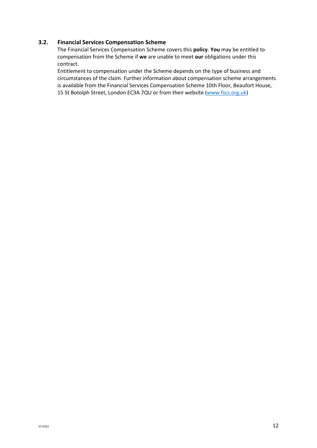# **3.2. Financial Services Compensation Scheme**

The Financial Services Compensation Scheme covers this **policy**. **You** may be entitled to compensation from the Scheme if **we** are unable to meet **our** obligations under this contract.

Entitlement to compensation under the Scheme depends on the type of business and circumstances of the claim. Further information about compensation scheme arrangements is available from the Financial Services Compensation Scheme 10th Floor, Beaufort House, 15 St Botolph Street, London EC3A 7QU or from their website [\(www.fscs.org.uk\)](http://www.fscs.org.uk/)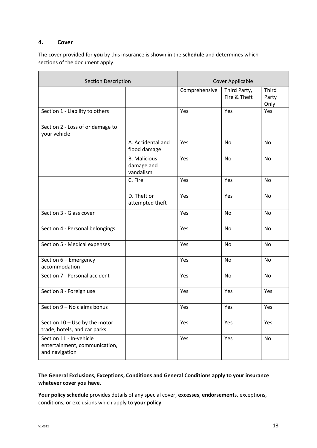# **4. Cover**

The cover provided for **you** by this insurance is shown in the **schedule** and determines which sections of the document apply.

| <b>Section Description</b>                                                 |                                                | Cover Applicable |                              |                        |
|----------------------------------------------------------------------------|------------------------------------------------|------------------|------------------------------|------------------------|
|                                                                            |                                                | Comprehensive    | Third Party,<br>Fire & Theft | Third<br>Party<br>Only |
| Section 1 - Liability to others                                            |                                                | Yes              | Yes                          | Yes                    |
| Section 2 - Loss of or damage to<br>your vehicle                           |                                                |                  |                              |                        |
|                                                                            | A. Accidental and<br>flood damage              | Yes              | No                           | No                     |
|                                                                            | <b>B.</b> Malicious<br>damage and<br>vandalism | Yes              | No                           | No                     |
|                                                                            | C. Fire                                        | Yes              | Yes                          | No                     |
|                                                                            | D. Theft or<br>attempted theft                 | Yes              | Yes                          | No                     |
| Section 3 - Glass cover                                                    |                                                | Yes              | No                           | No                     |
| Section 4 - Personal belongings                                            |                                                | Yes              | No                           | No                     |
| Section 5 - Medical expenses                                               |                                                | Yes              | No                           | No                     |
| Section 6 - Emergency<br>accommodation                                     |                                                | Yes              | No                           | No                     |
| Section 7 - Personal accident                                              |                                                | Yes              | <b>No</b>                    | No                     |
| Section 8 - Foreign use                                                    |                                                | Yes              | Yes                          | Yes                    |
| Section 9 - No claims bonus                                                |                                                | Yes              | Yes                          | Yes                    |
| Section 10 - Use by the motor<br>trade, hotels, and car parks              |                                                | Yes              | Yes                          | Yes                    |
| Section 11 - In-vehicle<br>entertainment, communication,<br>and navigation |                                                | Yes              | Yes                          | No                     |

# **The General Exclusions, Exceptions, Conditions and General Conditions apply to your insurance whatever cover you have.**

**Your policy schedule** provides details of any special cover, **excesses**, **endorsement**s, exceptions, conditions, or exclusions which apply to **your policy**.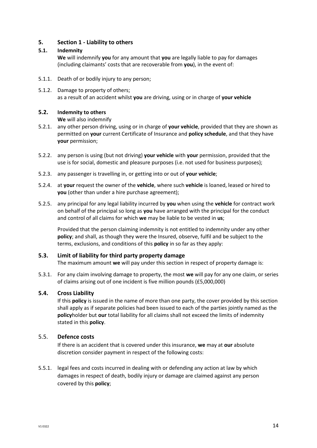# **5. Section 1 - Liability to others**

#### **5.1. Indemnity**

**We** will indemnify **you** for any amount that **you** are legally liable to pay for damages (including claimants' costs that are recoverable from **you**), in the event of:

- 5.1.1. Death of or bodily injury to any person;
- 5.1.2. Damage to property of others; as a result of an accident whilst **you** are driving, using or in charge of **your vehicle**

#### **5.2. Indemnity to others**

**We** will also indemnify

- 5.2.1. any other person driving, using or in charge of **your vehicle**, provided that they are shown as permitted on **your** current Certificate of Insurance and **policy schedule**, and that they have **your** permission;
- 5.2.2. any person is using (but not driving) **your vehicle** with **your** permission, provided that the use is for social, domestic and pleasure purposes (i.e. not used for business purposes);
- 5.2.3. any passenger is travelling in, or getting into or out of **your vehicle**;
- 5.2.4. at **your** request the owner of the **vehicle**, where such **vehicle** is loaned, leased or hired to **you** (other than under a hire purchase agreement);
- 5.2.5. any principal for any legal liability incurred by **you** when using the **vehicle** for contract work on behalf of the principal so long as **you** have arranged with the principal for the conduct and control of all claims for which **we** may be liable to be vested in **us**;

Provided that the person claiming indemnity is not entitled to indemnity under any other **policy**; and shall, as though they were the Insured, observe, fulfil and be subject to the terms, exclusions, and conditions of this **policy** in so far as they apply:

# **5.3. Limit of liability for third party property damage**

The maximum amount **we** will pay under this section in respect of property damage is:

5.3.1. For any claim involving damage to property, the most **we** will pay for any one claim, or series of claims arising out of one incident is five million pounds (£5,000,000)

#### **5.4. Cross Liability**

If this **policy** is issued in the name of more than one party, the cover provided by this section shall apply as if separate policies had been issued to each of the parties jointly named as the **policy**holder but **our** total liability for all claims shall not exceed the limits of indemnity stated in this **policy**.

#### 5.5. **Defence costs**

If there is an accident that is covered under this insurance, **we** may at **our** absolute discretion consider payment in respect of the following costs:

5.5.1. legal fees and costs incurred in dealing with or defending any action at law by which damages in respect of death, bodily injury or damage are claimed against any person covered by this **policy**;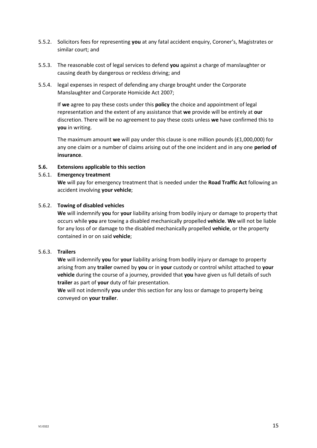- 5.5.2. Solicitors fees for representing **you** at any fatal accident enquiry, Coroner's, Magistrates or similar court; and
- 5.5.3. The reasonable cost of legal services to defend **you** against a charge of manslaughter or causing death by dangerous or reckless driving; and
- 5.5.4. legal expenses in respect of defending any charge brought under the Corporate Manslaughter and Corporate Homicide Act 2007;

If **we** agree to pay these costs under this **policy** the choice and appointment of legal representation and the extent of any assistance that **we** provide will be entirely at **our** discretion. There will be no agreement to pay these costs unless **we** have confirmed this to **you** in writing.

The maximum amount **we** will pay under this clause is one million pounds (£1,000,000) for any one claim or a number of claims arising out of the one incident and in any one **period of insurance**.

#### **5.6. Extensions applicable to this section**

#### 5.6.1. **Emergency treatment**

**We** will pay for emergency treatment that is needed under the **Road Traffic Act** following an accident involving **your vehicle**;

#### 5.6.2. **Towing of disabled vehicles**

**We** will indemnify **you** for **your** liability arising from bodily injury or damage to property that occurs while **you** are towing a disabled mechanically propelled **vehicle**. **We** will not be liable for any loss of or damage to the disabled mechanically propelled **vehicle**, or the property contained in or on said **vehicle**;

#### 5.6.3. **Trailers**

**We** will indemnify **you** for **your** liability arising from bodily injury or damage to property arising from any **trailer** owned by **you** or in **your** custody or control whilst attached to **your vehicle** during the course of a journey, provided that **you** have given us full details of such **trailer** as part of **your** duty of fair presentation.

**We** will not indemnify **you** under this section for any loss or damage to property being conveyed on **your trailer**.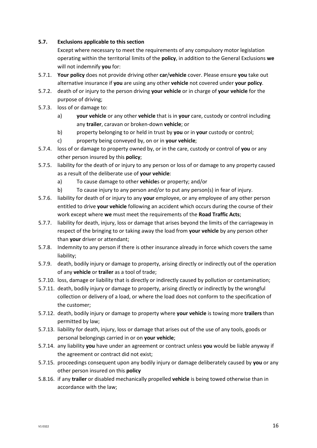# **5.7. Exclusions applicable to this section**

Except where necessary to meet the requirements of any compulsory motor legislation operating within the territorial limits of the **policy**, in addition to the General Exclusions **we** will not indemnify **you** for:

- 5.7.1. **Your policy** does not provide driving other **car**/**vehicle** cover. Please ensure **you** take out alternative insurance if **you** are using any other **vehicle** not covered under **your policy**.
- 5.7.2. death of or injury to the person driving **your vehicle** or in charge of **your vehicle** for the purpose of driving;
- 5.7.3. loss of or damage to:
	- a) **your vehicle** or any other **vehicle** that is in **your** care, custody or control including any **trailer**, caravan or broken-down **vehicle**; or
	- b) property belonging to or held in trust by **you** or in **your** custody or control;
	- c) property being conveyed by, on or in **your vehicle**;
- 5.7.4. loss of or damage to property owned by, or in the care, custody or control of **you** or any other person insured by this **policy**;
- 5.7.5. liability for the death of or injury to any person or loss of or damage to any property caused as a result of the deliberate use of **your vehicle**:
	- a) To cause damage to other **vehicle**s or property; and/or
	- b) To cause injury to any person and/or to put any person(s) in fear of injury.
- 5.7.6. liability for death of or injury to any **your** employee, or any employee of any other person entitled to drive **your vehicle** following an accident which occurs during the course of their work except where **we** must meet the requirements of the **Road Traffic Acts**;
- 5.7.7. liability for death, injury, loss or damage that arises beyond the limits of the carriageway in respect of the bringing to or taking away the load from **your vehicle** by any person other than **your** driver or attendant;
- 5.7.8. Indemnity to any person if there is other insurance already in force which covers the same liability;
- 5.7.9. death, bodily injury or damage to property, arising directly or indirectly out of the operation of any **vehicle** or **trailer** as a tool of trade;
- 5.7.10. loss, damage or liability that is directly or indirectly caused by pollution or contamination;
- 5.7.11. death, bodily injury or damage to property, arising directly or indirectly by the wrongful collection or delivery of a load, or where the load does not conform to the specification of the customer;
- 5.7.12. death, bodily injury or damage to property where **your vehicle** is towing more **trailers** than permitted by law;
- 5.7.13. liability for death, injury, loss or damage that arises out of the use of any tools, goods or personal belongings carried in or on **your vehicle**;
- 5.7.14. any liability **you** have under an agreement or contract unless **you** would be liable anyway if the agreement or contract did not exist;
- 5.7.15. proceedings consequent upon any bodily injury or damage deliberately caused by **you** or any other person insured on this **policy**
- 5.8.16. if any **trailer** or disabled mechanically propelled **vehicle** is being towed otherwise than in accordance with the law;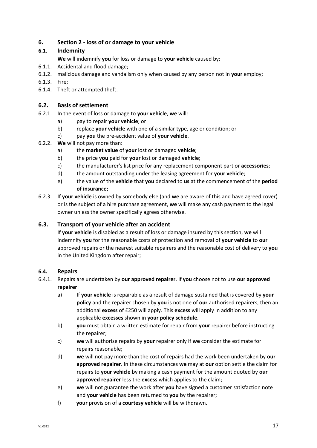# **6. Section 2 - loss of or damage to your vehicle**

# **6.1. Indemnity**

**We** will indemnify **you** for loss or damage to **your vehicle** caused by:

- 6.1.1. Accidental and flood damage;
- 6.1.2. malicious damage and vandalism only when caused by any person not in **your** employ;
- 6.1.3. Fire;
- 6.1.4. Theft or attempted theft.

# **6.2. Basis of settlement**

- 6.2.1. In the event of loss or damage to **your vehicle**, **we** will:
	- a) pay to repair **your vehicle**; or
	- b) replace **your vehicle** with one of a similar type, age or condition; or
	- c) pay **you** the pre-accident value of **your vehicle**.
- 6.2.2. **We** will not pay more than:
	- a) the **market value** of **your** lost or damaged **vehicle**;
	- b) the price **you** paid for **your** lost or damaged **vehicle**;
	- c) the manufacturer's list price for any replacement component part or **accessories**;
	- d) the amount outstanding under the leasing agreement for **your vehicle**;
	- e) the value of the **vehicle** that **you** declared to **us** at the commencement of the **period of insurance;**
- 6.2.3. If **your vehicle** is owned by somebody else (and **we** are aware of this and have agreed cover) or is the subject of a hire purchase agreement, **we** will make any cash payment to the legal owner unless the owner specifically agrees otherwise.

# **6.3. Transport of your vehicle after an accident**

If **your vehicle** is disabled as a result of loss or damage insured by this section, **we** will indemnify **you** for the reasonable costs of protection and removal of **your vehicle** to **our** approved repairs or the nearest suitable repairers and the reasonable cost of delivery to **you** in the United Kingdom after repair;

# **6.4. Repairs**

- 6.4.1. Repairs are undertaken by **our approved repairer**. If **you** choose not to use **our approved repairer**:
	- a) If **your vehicle** is repairable as a result of damage sustained that is covered by **your policy** and the repairer chosen by **you** is not one of **our** authorised repairers, then an additional **excess** of £250 will apply. This **excess** will apply in addition to any applicable **excesses** shown in **your policy schedule**.
	- b) **you** must obtain a written estimate for repair from **your** repairer before instructing the repairer;
	- c) **we** will authorise repairs by **your** repairer only if **we** consider the estimate for repairs reasonable;
	- d) **we** will not pay more than the cost of repairs had the work been undertaken by **our approved repairer**. In these circumstances **we** may at **our** option settle the claim for repairs to **your vehicle** by making a cash payment for the amount quoted by **our approved repairer** less the **excess** which applies to the claim;
	- e) **we** will not guarantee the work after **you** have signed a customer satisfaction note and **your vehicle** has been returned to **you** by the repairer;
	- f) **your** provision of a **courtesy vehicle** will be withdrawn.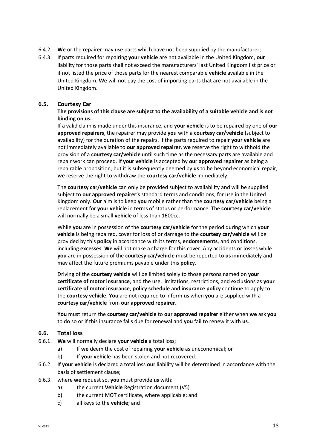- 6.4.2. **We** or the repairer may use parts which have not been supplied by the manufacturer;
- 6.4.3. If parts required for repairing **your vehicle** are not available in the United Kingdom, **our** liability for those parts shall not exceed the manufacturers' last United Kingdom list price or if not listed the price of those parts for the nearest comparable **vehicle** available in the United Kingdom. **We** will not pay the cost of importing parts that are not available in the United Kingdom.

#### **6.5. Courtesy Car**

#### **The provisions of this clause are subject to the availability of a suitable vehicle and is not binding on us.**

If a valid claim is made under this insurance, and **your vehicle** is to be repaired by one of **our approved repairers**, the repairer may provide **you** with a **courtesy car/vehicle** (subject to availability) for the duration of the repairs. If the parts required to repair **your vehicle** are not immediately available to **our approved repairer**, **we** reserve the right to withhold the provision of a **courtesy car/vehicle** until such time as the necessary parts are available and repair work can proceed. If **your vehicle** is accepted by **our approved repairer** as being a repairable proposition, but it is subsequently deemed by **us** to be beyond economical repair, **we** reserve the right to withdraw the **courtesy car/vehicle** immediately.

The **courtesy car/vehicle** can only be provided subject to availability and will be supplied subject to **our approved repairer**'s standard terms and conditions, for use in the United Kingdom only. **Our** aim is to keep **you** mobile rather than the **courtesy car/vehicle** being a replacement for **your vehicle** in terms of status or performance. The **courtesy car/vehicle** will normally be a small **vehicle** of less than 1600cc.

While **you** are in possession of the **courtesy car/vehicle** for the period during which **your vehicle** is being repaired, cover for loss of or damage to the **courtesy car/vehicle** will be provided by this **policy** in accordance with its terms, **endorsements**, and conditions, including **excesses**. **We** will not make a charge for this cover. Any accidents or losses while **you** are in possession of the **courtesy car/vehicle** must be reported to **us** immediately and may affect the future premiums payable under this **policy**.

Driving of the **courtesy vehicle** will be limited solely to those persons named on **your certificate of motor insurance**, and the use, limitations, restrictions, and exclusions as **your certificate of motor insurance**, **policy schedule** and **insurance policy** continue to apply to the **courtesy vehicle**. **You** are not required to inform **us** when **you** are supplied with a **courtesy car/vehicle** from **our approved repairer**.

**You** must return the **courtesy car/vehicle** to **our approved repairer** either when **we** ask **you** to do so or if this insurance falls due for renewal and **you** fail to renew it with **us**.

#### **6.6. Total loss**

- 6.6.1. **We** will normally declare **your vehicle** a total loss;
	- a) If **we** deem the cost of repairing **your vehicle** as uneconomical; or
	- b) If **your vehicle** has been stolen and not recovered.
- 6.6.2. If **your vehicle** is declared a total loss **our** liability will be determined in accordance with the basis of settlement clause;
- 6.6.3. where **we** request so, **you** must provide **us** with:
	- a) the current **Vehicle** Registration document (V5)
	- b) the current MOT certificate, where applicable; and
	- c) all keys to the **vehicle**; and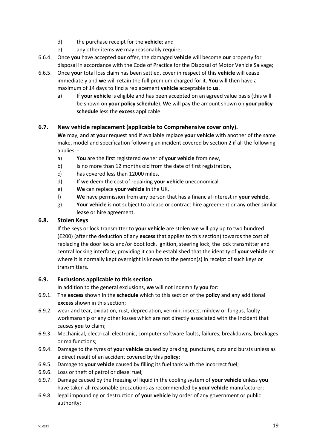- d) the purchase receipt for the **vehicle**; and
- e) any other items **we** may reasonably require;
- 6.6.4. Once **you** have accepted **our** offer, the damaged **vehicle** will become **our** property for disposal in accordance with the Code of Practice for the Disposal of Motor Vehicle Salvage;
- 6.6.5. Once **your** total loss claim has been settled, cover in respect of this **vehicle** will cease immediately and **we** will retain the full premium charged for it. **You** will then have a maximum of 14 days to find a replacement **vehicle** acceptable to **us**.
	- a) If **your vehicle** is eligible and has been accepted on an agreed value basis (this will be shown on **your policy schedule**). **We** will pay the amount shown on **your policy schedule** less the **excess** applicable.

# **6.7. New vehicle replacement (applicable to Comprehensive cover only).**

**We** may, and at **your** request and if available replace **your vehicle** with another of the same make, model and specification following an incident covered by section 2 if all the following applies: -

- a) **You** are the first registered owner of **your vehicle** from new,
- b) is no more than 12 months old from the date of first registration,
- c) has covered less than 12000 miles,
- d) If **we** deem the cost of repairing **your vehicle** uneconomical
- e) **We** can replace **your vehicle** in the UK,
- f) **We** have permission from any person that has a financial interest in **your vehicle**,
- g) **Your vehicle** is not subject to a lease or contract hire agreement or any other similar lease or hire agreement.

# **6.8. Stolen Keys**

If the keys or lock transmitter to **your vehicle** are stolen **we** will pay up to two hundred (£200) (after the deduction of any **excess** that applies to this section) towards the cost of replacing the door locks and/or boot lock, ignition, steering lock, the lock transmitter and central locking interface, providing it can be established that the identity of **your vehicle** or where it is normally kept overnight is known to the person(s) in receipt of such keys or transmitters.

# **6.9. Exclusions applicable to this section**

In addition to the general exclusions, **we** will not indemnify **you** for:

- 6.9.1. The **excess** shown in the **schedule** which to this section of the **policy** and any additional **excess** shown in this section;
- 6.9.2. wear and tear, oxidation, rust, depreciation, vermin, insects, mildew or fungus, faulty workmanship or any other losses which are not directly associated with the incident that causes **you** to claim;
- 6.9.3. Mechanical, electrical, electronic, computer software faults, failures, breakdowns, breakages or malfunctions;
- 6.9.4. Damage to the tyres of **your vehicle** caused by braking, punctures, cuts and bursts unless as a direct result of an accident covered by this **policy**;
- 6.9.5. Damage to **your vehicle** caused by filling its fuel tank with the incorrect fuel;
- 6.9.6. Loss or theft of petrol or diesel fuel;
- 6.9.7. Damage caused by the freezing of liquid in the cooling system of **your vehicle** unless **you** have taken all reasonable precautions as recommended by **your vehicle** manufacturer;
- 6.9.8. legal impounding or destruction of **your vehicle** by order of any government or public authority;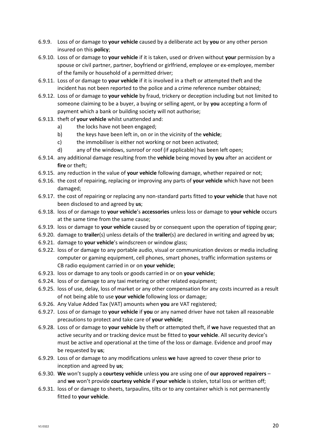- 6.9.9. Loss of or damage to **your vehicle** caused by a deliberate act by **you** or any other person insured on this **policy**;
- 6.9.10. Loss of or damage to **your vehicle** if it is taken, used or driven without **your** permission by a spouse or civil partner, partner, boyfriend or girlfriend, employee or ex-employee, member of the family or household of a permitted driver;
- 6.9.11. Loss of or damage to **your vehicle** if it is involved in a theft or attempted theft and the incident has not been reported to the police and a crime reference number obtained;
- 6.9.12. Loss of or damage to **your vehicle** by fraud, trickery or deception including but not limited to someone claiming to be a buyer, a buying or selling agent, or by **you** accepting a form of payment which a bank or building society will not authorise;
- 6.9.13. theft of **your vehicle** whilst unattended and:
	- a) the locks have not been engaged;
	- b) the keys have been left in, on or in the vicinity of the **vehicle**;
	- c) the immobiliser is either not working or not been activated;
	- d) any of the windows, sunroof or roof (if applicable) has been left open;
- 6.9.14. any additional damage resulting from the **vehicle** being moved by **you** after an accident or **fire** or theft;
- 6.9.15. any reduction in the value of **your vehicle** following damage, whether repaired or not;
- 6.9.16. the cost of repairing, replacing or improving any parts of **your vehicle** which have not been damaged;
- 6.9.17. the cost of repairing or replacing any non-standard parts fitted to **your vehicle** that have not been disclosed to and agreed by **us**;
- 6.9.18. loss of or damage to **your vehicle**'s **accessories** unless loss or damage to **your vehicle** occurs at the same time from the same cause;
- 6.9.19. loss or damage to **your vehicle** caused by or consequent upon the operation of tipping gear;
- 6.9.20. damage to **trailer**(s) unless details of the **trailer**(s) are declared in writing and agreed by **us**;
- 6.9.21. damage to **your vehicle**'s windscreen or window glass;
- 6.9.22. loss of or damage to any portable audio, visual or communication devices or media including computer or gaming equipment, cell phones, smart phones, traffic information systems or CB radio equipment carried in or on **your vehicle**;
- 6.9.23. loss or damage to any tools or goods carried in or on **your vehicle**;
- 6.9.24. loss of or damage to any taxi metering or other related equipment;
- 6.9.25. loss of use, delay, loss of market or any other compensation for any costs incurred as a result of not being able to use **your vehicle** following loss or damage;
- 6.9.26. Any Value Added Tax (VAT) amounts when **you** are VAT registered;
- 6.9.27. Loss of or damage to **your vehicle** if **you** or any named driver have not taken all reasonable precautions to protect and take care of **your vehicle**;
- 6.9.28. Loss of or damage to **your vehicle** by theft or attempted theft, if **we** have requested that an active security and or tracking device must be fitted to **your vehicle**. All security device's must be active and operational at the time of the loss or damage. Evidence and proof may be requested by **us**;
- 6.9.29. Loss of or damage to any modifications unless **we** have agreed to cover these prior to inception and agreed by **us**;
- 6.9.30. **We** won't supply a **courtesy vehicle** unless **you** are using one of **our approved repairers** and **we** won't provide **courtesy vehicle** if **your vehicle** is stolen, total loss or written off;
- 6.9.31. loss of or damage to sheets, tarpaulins, tilts or to any container which is not permanently fitted to **your vehicle**.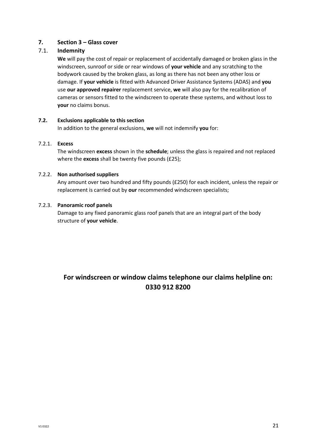# **7. Section 3 – Glass cover**

# 7.1. **Indemnity**

**We** will pay the cost of repair or replacement of accidentally damaged or broken glass in the windscreen, sunroof or side or rear windows of **your vehicle** and any scratching to the bodywork caused by the broken glass, as long as there has not been any other loss or damage. If **your vehicle** is fitted with Advanced Driver Assistance Systems (ADAS) and **you** use **our approved repairer** replacement service, **we** will also pay for the recalibration of cameras or sensors fitted to the windscreen to operate these systems, and without loss to **your** no claims bonus.

# **7.2. Exclusions applicable to this section**

In addition to the general exclusions, **we** will not indemnify **you** for:

#### 7.2.1. **Excess**

The windscreen **excess** shown in the **schedule**; unless the glass is repaired and not replaced where the **excess** shall be twenty five pounds (£25);

#### 7.2.2. **Non authorised suppliers**

Any amount over two hundred and fifty pounds (£250) for each incident, unless the repair or replacement is carried out by **our** recommended windscreen specialists;

#### 7.2.3. **Panoramic roof panels**

Damage to any fixed panoramic glass roof panels that are an integral part of the body structure of **your vehicle**.

# **For windscreen or window claims telephone our claims helpline on: 0330 912 8200**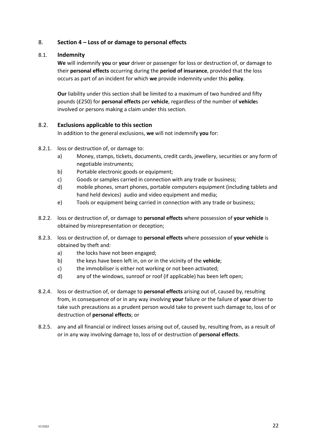# 8. **Section 4 – Loss of or damage to personal effects**

# 8.1. **Indemnity**

**We** will indemnify **you** or **your** driver or passenger for loss or destruction of, or damage to their **personal effects** occurring during the **period of insurance**, provided that the loss occurs as part of an incident for which **we** provide indemnity under this **policy**.

**Our** liability under this section shall be limited to a maximum of two hundred and fifty pounds (£250) for **personal effects** per **vehicle**, regardless of the number of **vehicle**s involved or persons making a claim under this section.

# 8.2. **Exclusions applicable to this section**

In addition to the general exclusions, **we** will not indemnify **you** for:

- 8.2.1. loss or destruction of, or damage to:
	- a) Money, stamps, tickets, documents, credit cards, jewellery, securities or any form of negotiable instruments;
	- b) Portable electronic goods or equipment;
	- c) Goods or samples carried in connection with any trade or business;
	- d) mobile phones, smart phones, portable computers equipment (including tablets and hand held devices) audio and video equipment and media;
	- e) Tools or equipment being carried in connection with any trade or business;
- 8.2.2. loss or destruction of, or damage to **personal effects** where possession of **your vehicle** is obtained by misrepresentation or deception;
- 8.2.3. loss or destruction of, or damage to **personal effects** where possession of **your vehicle** is obtained by theft and:
	- a) the locks have not been engaged;
	- b) the keys have been left in, on or in the vicinity of the **vehicle**;
	- c) the immobiliser is either not working or not been activated;
	- d) any of the windows, sunroof or roof (if applicable) has been left open;
- 8.2.4. loss or destruction of, or damage to **personal effects** arising out of, caused by, resulting from, in consequence of or in any way involving **your** failure or the failure of **your** driver to take such precautions as a prudent person would take to prevent such damage to, loss of or destruction of **personal effects**; or
- 8.2.5. any and all financial or indirect losses arising out of, caused by, resulting from, as a result of or in any way involving damage to, loss of or destruction of **personal effects**.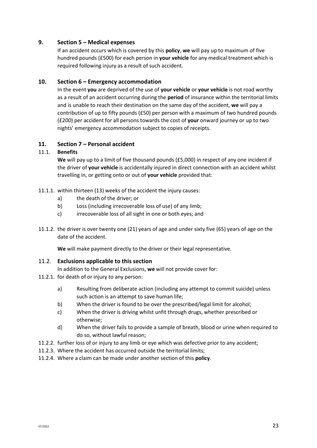# **9. Section 5 – Medical expenses**

If an accident occurs which is covered by this **policy**, **we** will pay up to maximum of five hundred pounds (£500) for each person in **your vehicle** for any medical treatment which is required following injury as a result of such accident.

#### **10. Section 6 – Emergency accommodation**

In the event **you** are deprived of the use of **your vehicle** or **your vehicle** is not road worthy as a result of an accident occurring during the **period** of insurance within the territorial limits and is unable to reach their destination on the same day of the accident, **we** will pay a contribution of up to fifty pounds (£50) per person with a maximum of two hundred pounds (£200) per accident for all persons towards the cost of **your** onward journey or up to two nights' emergency accommodation subject to copies of receipts.

#### **11. Section 7 – Personal accident**

#### 11.1. **Benefits**

**We** will pay up to a limit of five thousand pounds (£5,000) in respect of any one incident if the driver of **your vehicle** is accidentally injured in direct connection with an accident whilst travelling in, or getting onto or out of **your vehicle** provided that:

- 11.1.1. within thirteen (13) weeks of the accident the injury causes:
	- a) the death of the driver; or
	- b) Loss (including irrecoverable loss of use) of any limb;
	- c) irrecoverable loss of all sight in one or both eyes; and
- 11.1.2. the driver is over twenty one (21) years of age and under sixty five (65) years of age on the date of the accident.

**We** will make payment directly to the driver or their legal representative.

#### 11.2. **Exclusions applicable to this section**

- In addition to the General Exclusions, **we** will not provide cover for:
- 11.2.1. for death of or injury to any person:
	- a) Resulting from deliberate action (including any attempt to commit suicide) unless such action is an attempt to save human life;
	- b) When the driver is found to be over the prescribed/legal limit for alcohol;
	- c) When the driver is driving whilst unfit through drugs, whether prescribed or otherwise;
	- d) When the driver fails to provide a sample of breath, blood or urine when required to do so, without lawful reason;
- 11.2.2. further loss of or injury to any limb or eye which was defective prior to any accident;
- 11.2.3. Where the accident has occurred outside the territorial limits;
- 11.2.4. Where a claim can be made under another section of this **policy**.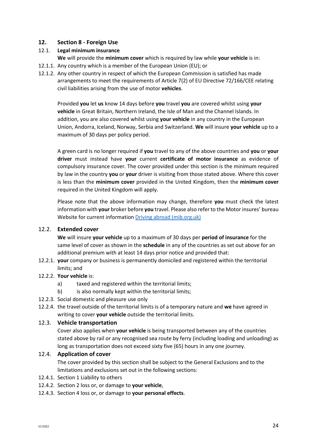# **12. Section 8 - Foreign Use**

# 12.1. **Legal minimum insurance**

**We** will provide the **minimum cover** which is required by law while **your vehicle** is in:

- 12.1.1. Any country which is a member of the European Union (EU); or
- 12.1.2. Any other country in respect of which the European Commission is satisfied has made arrangements to meet the requirements of Article 7(2) of EU Directive 72/166/CEE relating civil liabilities arising from the use of motor **vehicles**.

Provided **you** let **us** know 14 days before **you** travel **you** are covered whilst using **your vehicle** in Great Britain, Northern Ireland, the Isle of Man and the Channel Islands. In addition, you are also covered whilst using **your vehicle** in any country in the European Union, Andorra, Iceland, Norway, Serbia and Switzerland. **We** will insure **your vehicle** up to a maximum of 30 days per policy period.

A green card is no longer required if **you** travel to any of the above countries and **you** or **your driver** must instead have **your** current **certificate of motor insurance** as evidence of compulsory insurance cover. The cover provided under this section is the minimum required by law in the country **you** or **your** driver is visiting from those stated above. Where this cover is less than the **minimum cover** provided in the United Kingdom, then the **minimum cover** required in the United Kingdom will apply.

Please note that the above information may change, therefore **you** must check the latest information with **your** broker before **you** travel. Please also refer to the Motor insures' bureau Website for current information [Driving abroad \(mib.org.uk\)](https://www.mib.org.uk/driving-abroad/)

# 12.2. **Extended cover**

**We** will insure **your vehicle** up to a maximum of 30 days per **period of insurance** for the same level of cover as shown in the **schedule** in any of the countries as set out above for an additional premium with at least 14 days prior notice and provided that:

12.2.1. **your** company or business is permanently domiciled and registered within the territorial limits; and

# 12.2.2. **Your vehicle** is:

- a) taxed and registered within the territorial limits;
- b) is also normally kept within the territorial limits;
- 12.2.3. Social domestic and pleasure use only
- 12.2.4. the travel outside of the territorial limits is of a temporary nature and **we** have agreed in writing to cover **your vehicle** outside the territorial limits.

# 12.3. **Vehicle transportation**

Cover also applies when **your vehicle** is being transported between any of the countries stated above by rail or any recognised sea route by ferry (including loading and unloading) as long as transportation does not exceed sixty five (65) hours in any one journey.

# 12.4. **Application of cover**

The cover provided by this section shall be subject to the General Exclusions and to the limitations and exclusions set out in the following sections:

- 12.4.1. Section 1 Liability to others
- 12.4.2. Section 2 loss or, or damage to **your vehicle**,
- 12.4.3. Section 4 loss or, or damage to **your personal effects**.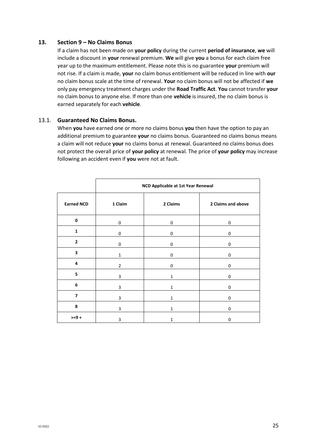#### **13. Section 9 – No Claims Bonus**

If a claim has not been made on **your policy** during the current **period of insurance**, **we** will include a discount in **your** renewal premium. **We** will give **you** a bonus for each claim free year up to the maximum entitlement. Please note this is no guarantee **your** premium will not rise. If a claim is made, **your** no claim bonus entitlement will be reduced in line with **our** no claim bonus scale at the time of renewal. **Your** no claim bonus will not be affected if **we** only pay emergency treatment charges under the **Road Traffic Act**. **You** cannot transfer **your** no claim bonus to anyone else. If more than one **vehicle** is insured, the no claim bonus is earned separately for each **vehicle**.

#### 13.1. **Guaranteed No Claims Bonus.**

When **you** have earned one or more no claims bonus **you** then have the option to pay an additional premium to guarantee **your** no claims bonus. Guaranteed no claims bonus means a claim will not reduce **your** no claims bonus at renewal. Guaranteed no claims bonus does not protect the overall price of **your policy** at renewal. The price of **your policy** may increase following an accident even if **you** were not at fault.

|                          | NCD Applicable at 1st Year Renewal |              |                    |  |
|--------------------------|------------------------------------|--------------|--------------------|--|
| <b>Earned NCD</b>        | 1 Claim                            | 2 Claims     | 2 Claims and above |  |
| $\mathbf 0$              | 0                                  | 0            | 0                  |  |
| $\mathbf{1}$             | 0                                  | 0            | 0                  |  |
| $\overline{\mathbf{c}}$  | 0                                  | 0            | 0                  |  |
| 3                        | $\mathbf{1}$                       | 0            | 0                  |  |
| 4                        | $\overline{2}$                     | 0            | 0                  |  |
| 5                        | 3                                  | $\mathbf{1}$ | 0                  |  |
| 6                        | 3                                  | 1            | 0                  |  |
| $\overline{\phantom{a}}$ | 3                                  | 1            | 0                  |  |
| 8                        | 3                                  | 1            | 0                  |  |
| $>=9+$                   | 3                                  | 1            | 0                  |  |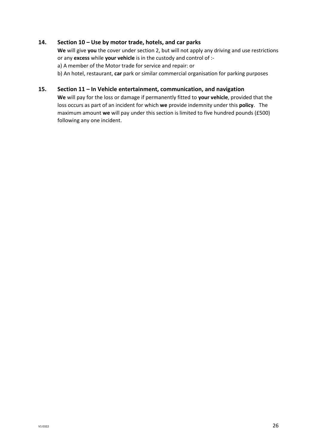# **14. Section 10 – Use by motor trade, hotels, and car parks**

**We** will give **you** the cover under section 2, but will not apply any driving and use restrictions or any **excess** while **your vehicle** is in the custody and control of : a) A member of the Motor trade for service and repair: or

b) An hotel, restaurant, **car** park or similar commercial organisation for parking purposes

#### **15. Section 11 – In Vehicle entertainment, communication, and navigation**

**We** will pay for the loss or damage if permanently fitted to **your vehicle**, provided that the loss occurs as part of an incident for which **we** provide indemnity under this **policy**. The maximum amount **we** will pay under this section is limited to five hundred pounds (£500) following any one incident.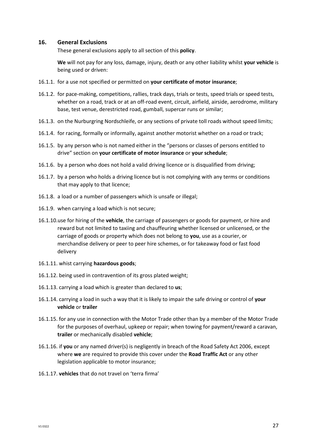#### **16. General Exclusions**

These general exclusions apply to all section of this **policy**.

**We** will not pay for any loss, damage, injury, death or any other liability whilst **your vehicle** is being used or driven:

- 16.1.1. for a use not specified or permitted on **your certificate of motor insurance**;
- 16.1.2. for pace-making, competitions, rallies, track days, trials or tests, speed trials or speed tests, whether on a road, track or at an off-road event, circuit, airfield, airside, aerodrome, military base, test venue, derestricted road, gumball, supercar runs or similar;
- 16.1.3. on the Nurburgring Nordschleife, or any sections of private toll roads without speed limits;
- 16.1.4. for racing, formally or informally, against another motorist whether on a road or track;
- 16.1.5. by any person who is not named either in the "persons or classes of persons entitled to drive" section on **your certificate of motor insurance** or **your schedule**;
- 16.1.6. by a person who does not hold a valid driving licence or is disqualified from driving;
- 16.1.7. by a person who holds a driving licence but is not complying with any terms or conditions that may apply to that licence;
- 16.1.8. a load or a number of passengers which is unsafe or illegal;
- 16.1.9. when carrying a load which is not secure;
- 16.1.10.use for hiring of the **vehicle**, the carriage of passengers or goods for payment, or hire and reward but not limited to taxiing and chauffeuring whether licensed or unlicensed, or the carriage of goods or property which does not belong to **you**, use as a courier, or merchandise delivery or peer to peer hire schemes, or for takeaway food or fast food delivery
- 16.1.11. whist carrying **hazardous goods**;
- 16.1.12. being used in contravention of its gross plated weight;
- 16.1.13. carrying a load which is greater than declared to **us**;
- 16.1.14. carrying a load in such a way that it is likely to impair the safe driving or control of **your vehicle** or **trailer**
- 16.1.15. for any use in connection with the Motor Trade other than by a member of the Motor Trade for the purposes of overhaul, upkeep or repair; when towing for payment/reward a caravan, **trailer** or mechanically disabled **vehicle**;
- 16.1.16. if **you** or any named driver(s) is negligently in breach of the Road Safety Act 2006, except where **we** are required to provide this cover under the **Road Traffic Act** or any other legislation applicable to motor insurance;
- 16.1.17. **vehicles** that do not travel on 'terra firma'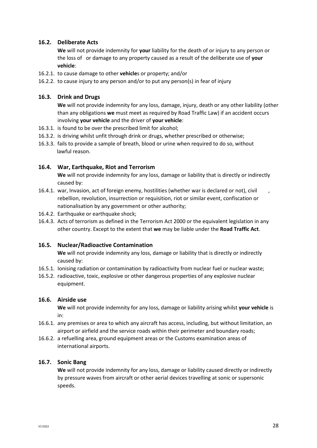# **16.2. Deliberate Acts**

**We** will not provide indemnity for **your** liability for the death of or injury to any person or the loss of or damage to any property caused as a result of the deliberate use of **your vehicle**:

- 16.2.1. to cause damage to other **vehicle**s or property; and/or
- 16.2.2. to cause injury to any person and/or to put any person(s) in fear of injury

# **16.3. Drink and Drugs**

**We** will not provide indemnity for any loss, damage, injury, death or any other liability (other than any obligations **we** must meet as required by Road Traffic Law) if an accident occurs involving **your vehicle** and the driver of **your vehicle**:

- 16.3.1. is found to be over the prescribed limit for alcohol;
- 16.3.2. is driving whilst unfit through drink or drugs, whether prescribed or otherwise;
- 16.3.3. fails to provide a sample of breath, blood or urine when required to do so, without lawful reason.

# **16.4. War, Earthquake, Riot and Terrorism**

**We** will not provide indemnity for any loss, damage or liability that is directly or indirectly caused by:

- 16.4.1. war, Invasion, act of foreign enemy, hostilities (whether war is declared or not), civil rebellion, revolution, insurrection or requisition, riot or similar event, confiscation or nationalisation by any government or other authority;
- 16.4.2. Earthquake or earthquake shock;
- 16.4.3. Acts of terrorism as defined in the Terrorism Act 2000 or the equivalent legislation in any other country. Except to the extent that **we** may be liable under the **Road Traffic Act**.

# **16.5. Nuclear/Radioactive Contamination**

**We** will not provide indemnity any loss, damage or liability that is directly or indirectly caused by:

- 16.5.1. Ionising radiation or contamination by radioactivity from nuclear fuel or nuclear waste;
- 16.5.2. radioactive, toxic, explosive or other dangerous properties of any explosive nuclear equipment.

# **16.6. Airside use**

**We** will not provide indemnity for any loss, damage or liability arising whilst **your vehicle** is in:

- 16.6.1. any premises or area to which any aircraft has access, including, but without limitation, an airport or airfield and the service roads within their perimeter and boundary roads;
- 16.6.2. a refuelling area, ground equipment areas or the Customs examination areas of international airports.

# **16.7. Sonic Bang**

**We** will not provide indemnity for any loss, damage or liability caused directly or indirectly by pressure waves from aircraft or other aerial devices travelling at sonic or supersonic speeds.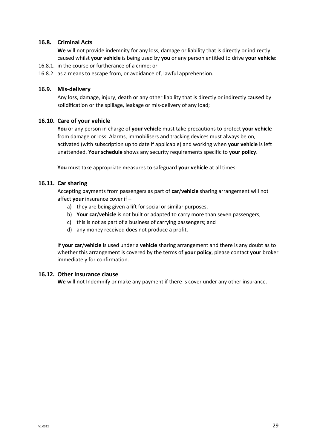# **16.8. Criminal Acts**

**We** will not provide indemnity for any loss, damage or liability that is directly or indirectly caused whilst **your vehicle** is being used by **you** or any person entitled to drive **your vehicle**:

- 16.8.1. in the course or furtherance of a crime; or
- 16.8.2. as a means to escape from, or avoidance of, lawful apprehension.

# **16.9. Mis-delivery**

Any loss, damage, injury, death or any other liability that is directly or indirectly caused by solidification or the spillage, leakage or mis-delivery of any load;

#### **16.10. Care of your vehicle**

**You** or any person in charge of **your vehicle** must take precautions to protect **your vehicle** from damage or loss. Alarms, immobilisers and tracking devices must always be on, activated (with subscription up to date if applicable) and working when **your vehicle** is left unattended. **Your schedule** shows any security requirements specific to **your policy**.

**You** must take appropriate measures to safeguard **your vehicle** at all times;

#### **16.11. Car sharing**

Accepting payments from passengers as part of **car**/**vehicle** sharing arrangement will not affect **your** insurance cover if –

- a) they are being given a lift for social or similar purposes,
- b) **Your car**/**vehicle** is not built or adapted to carry more than seven passengers,
- c) this is not as part of a business of carrying passengers; and
- d) any money received does not produce a profit.

If **your car**/**vehicle** is used under a **vehicle** sharing arrangement and there is any doubt as to whether this arrangement is covered by the terms of **your policy**, please contact **your** broker immediately for confirmation.

#### **16.12. Other Insurance clause**

**We** will not Indemnify or make any payment if there is cover under any other insurance.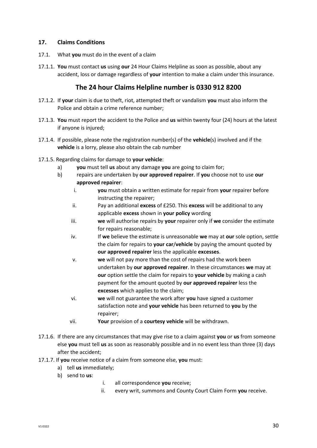# **17. Claims Conditions**

- 17.1. What **you** must do in the event of a claim
- 17.1.1. **You** must contact **us** using **our** 24 Hour Claims Helpline as soon as possible, about any accident, loss or damage regardless of **your** intention to make a claim under this insurance.

# **The 24 hour Claims Helpline number is 0330 912 8200**

- 17.1.2. If **your** claim is due to theft, riot, attempted theft or vandalism **you** must also inform the Police and obtain a crime reference number;
- 17.1.3. **You** must report the accident to the Police and **us** within twenty four (24) hours at the latest if anyone is injured;
- 17.1.4. If possible, please note the registration number(s) of the **vehicle**(s) involved and if the **vehicle** is a lorry, please also obtain the cab number
- 17.1.5. Regarding claims for damage to **your vehicle**:
	- a) **you** must tell **us** about any damage **you** are going to claim for;
	- b) repairs are undertaken by **our approved repairer**. If **you** choose not to use **our approved repairer**:
		- i. **you** must obtain a written estimate for repair from **your** repairer before instructing the repairer;
		- ii. Pay an additional **excess** of £250. This **excess** will be additional to any applicable **excess** shown in **your policy** wording
		- iii. **we** will authorise repairs by **your** repairer only if **we** consider the estimate for repairs reasonable;
		- iv. If **we** believe the estimate is unreasonable **we** may at **our** sole option, settle the claim for repairs to **your car**/**vehicle** by paying the amount quoted by **our approved repairer** less the applicable **excesses**.
		- v. **we** will not pay more than the cost of repairs had the work been undertaken by **our approved repairer**. In these circumstances **we** may at **our** option settle the claim for repairs to **your vehicle** by making a cash payment for the amount quoted by **our approved repairer** less the **excesses** which applies to the claim;
		- vi. **we** will not guarantee the work after **you** have signed a customer satisfaction note and **your vehicle** has been returned to **you** by the repairer;
		- vii. **Your** provision of a **courtesy vehicle** will be withdrawn.
- 17.1.6. If there are any circumstances that may give rise to a claim against **you** or **us** from someone else **you** must tell **us** as soon as reasonably possible and in no event less than three (3) days after the accident;
- 17.1.7. If **you** receive notice of a claim from someone else, **you** must:
	- a) tell **us** immediately;
	- b) send to **us**:
- i. all correspondence **you** receive;
- ii. every writ, summons and County Court Claim Form **you** receive.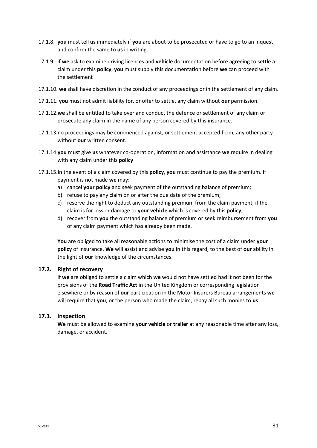- 17.1.8. **you** must tell **us** immediately if **you** are about to be prosecuted or have to go to an inquest and confirm the same to **us** in writing.
- 17.1.9. if **we** ask to examine driving licences and **vehicle** documentation before agreeing to settle a claim under this **policy**, **you** must supply this documentation before **we** can proceed with the settlement
- 17.1.10. **we** shall have discretion in the conduct of any proceedings or in the settlement of any claim.
- 17.1.11. **you** must not admit liability for, or offer to settle, any claim without **our** permission.
- 17.1.12.**we** shall be entitled to take over and conduct the defence or settlement of any claim or prosecute any claim in the name of any person covered by this insurance.
- 17.1.13.no proceedings may be commenced against, or settlement accepted from, any other party without **our** written consent.
- 17.1.14.**you** must give **us** whatever co-operation, information and assistance **we** require in dealing with any claim under this **policy**
- 17.1.15.In the event of a claim covered by this **policy**, **you** must continue to pay the premium. If payment is not made **we** may:
	- a) cancel **your policy** and seek payment of the outstanding balance of premium;
	- b) refuse to pay any claim on or after the due date of the premium;
	- c) reserve the right to deduct any outstanding premium from the claim payment, if the claim is for loss or damage to **your vehicle** which is covered by this **policy**;
	- d) recover from **you** the outstanding balance of premium or seek reimbursement from **you** of any claim payment which has already been made.

**You** are obliged to take all reasonable actions to minimise the cost of a claim under **your policy** of insurance. **We** will assist and advise **you** in this regard, to the best of **our** ability in the light of **our** knowledge of the circumstances.

# **17.2. Right of recovery**

If **we** are obliged to settle a claim which **we** would not have settled had it not been for the provisions of the **Road Traffic Act** in the United Kingdom or corresponding legislation elsewhere or by reason of **our** participation in the Motor Insurers Bureau arrangements **we** will require that **you**, or the person who made the claim, repay all such monies to **us**.

# **17.3. Inspection**

**We** must be allowed to examine **your vehicle** or **trailer** at any reasonable time after any loss, damage, or accident.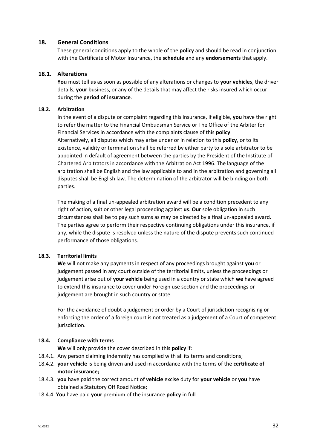# **18. General Conditions**

These general conditions apply to the whole of the **policy** and should be read in conjunction with the Certificate of Motor Insurance, the **schedule** and any **endorsements** that apply.

#### **18.1. Alterations**

**You** must tell **us** as soon as possible of any alterations or changes to **your vehicle**s, the driver details, **your** business, or any of the details that may affect the risks insured which occur during the **period of insurance**.

#### **18.2. Arbitration**

In the event of a dispute or complaint regarding this insurance, if eligible, **you** have the right to refer the matter to the Financial Ombudsman Service or The Office of the Arbiter for Financial Services in accordance with the complaints clause of this **policy**. Alternatively, all disputes which may arise under or in relation to this **policy**, or to its existence, validity or termination shall be referred by either party to a sole arbitrator to be appointed in default of agreement between the parties by the President of the Institute of Chartered Arbitrators in accordance with the Arbitration Act 1996. The language of the arbitration shall be English and the law applicable to and in the arbitration and governing all disputes shall be English law. The determination of the arbitrator will be binding on both parties.

The making of a final un-appealed arbitration award will be a condition precedent to any right of action, suit or other legal proceeding against **us**. **Our** sole obligation in such circumstances shall be to pay such sums as may be directed by a final un-appealed award. The parties agree to perform their respective continuing obligations under this insurance, if any, while the dispute is resolved unless the nature of the dispute prevents such continued performance of those obligations.

#### **18.3. Territorial limits**

**We** will not make any payments in respect of any proceedings brought against **you** or judgement passed in any court outside of the territorial limits, unless the proceedings or judgement arise out of **your vehicle** being used in a country or state which **we** have agreed to extend this insurance to cover under Foreign use section and the proceedings or judgement are brought in such country or state.

For the avoidance of doubt a judgement or order by a Court of jurisdiction recognising or enforcing the order of a foreign court is not treated as a judgement of a Court of competent jurisdiction.

#### **18.4. Compliance with terms**

**We** will only provide the cover described in this **policy** if:

- 18.4.1. Any person claiming indemnity has complied with all its terms and conditions;
- 18.4.2. **your vehicle** is being driven and used in accordance with the terms of the **certificate of motor insurance;**
- 18.4.3. **you** have paid the correct amount of **vehicle** excise duty for **your vehicle** or **you** have obtained a Statutory Off Road Notice;
- 18.4.4. **You** have paid **your** premium of the insurance **policy** in full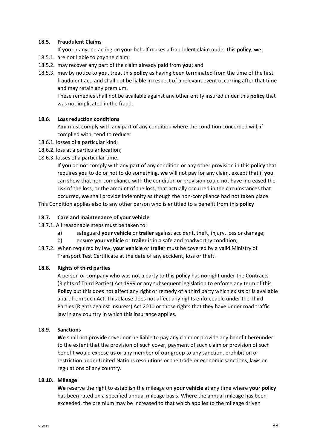#### **18.5. Fraudulent Claims**

If **you** or anyone acting on **your** behalf makes a fraudulent claim under this **policy**, **we**:

- 18.5.1. are not liable to pay the claim;
- 18.5.2. may recover any part of the claim already paid from **you**; and
- 18.5.3. may by notice to **you**, treat this **policy** as having been terminated from the time of the first fraudulent act, and shall not be liable in respect of a relevant event occurring after that time and may retain any premium.

These remedies shall not be available against any other entity insured under this **policy** that was not implicated in the fraud.

#### **18.6. Loss reduction conditions**

Y**ou** must comply with any part of any condition where the condition concerned will, if complied with, tend to reduce:

- 18.6.1. losses of a particular kind;
- 18.6.2. loss at a particular location;
- 18.6.3. losses of a particular time.

If **you** do not comply with any part of any condition or any other provision in this **policy** that requires **you** to do or not to do something, **we** will not pay for any claim, except that if **you** can show that non-compliance with the condition or provision could not have increased the risk of the loss, or the amount of the loss, that actually occurred in the circumstances that occurred, **we** shall provide indemnity as though the non-compliance had not taken place.

This Condition applies also to any other person who is entitled to a benefit from this **policy**

#### **18.7. Care and maintenance of your vehicle**

- 18.7.1. All reasonable steps must be taken to:
	- a) safeguard **your vehicle** or **trailer** against accident, theft, injury, loss or damage;
	- b) ensure **your vehicle** or **trailer** is in a safe and roadworthy condition;
- 18.7.2. When required by law, **your vehicle** or **trailer** must be covered by a valid Ministry of Transport Test Certificate at the date of any accident, loss or theft.

#### **18.8. Rights of third parties**

A person or company who was not a party to this **policy** has no right under the Contracts (Rights of Third Parties) Act 1999 or any subsequent legislation to enforce any term of this **Policy** but this does not affect any right or remedy of a third party which exists or is available apart from such Act. This clause does not affect any rights enforceable under the Third Parties (Rights against Insurers) Act 2010 or those rights that they have under road traffic law in any country in which this insurance applies.

#### **18.9. Sanctions**

**We** shall not provide cover nor be liable to pay any claim or provide any benefit hereunder to the extent that the provision of such cover, payment of such claim or provision of such benefit would expose **us** or any member of **our** group to any sanction, prohibition or restriction under United Nations resolutions or the trade or economic sanctions, laws or regulations of any country.

#### **18.10. Mileage**

**We** reserve the right to establish the mileage on **your vehicle** at any time where **your policy** has been rated on a specified annual mileage basis. Where the annual mileage has been exceeded, the premium may be increased to that which applies to the mileage driven